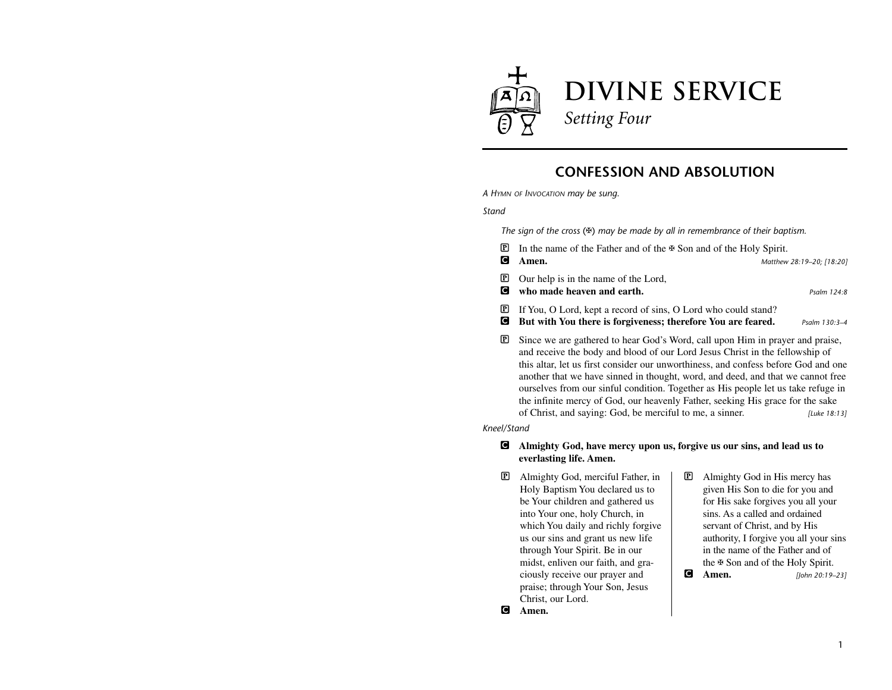

# **CONFESSION AND ABSOLUTION**

*A HYMN OF INVOCATION may be sung.*

*Stand*

*The sign of the cross* (✠) *may be made by all in remembrance of their baptism.*

- **<u>■</u>** In the name of the Father and of the  $\text{#}$  Son and of the Holy Spirit. C **Amen.** *Matthew 28:19–20; [18:20]* P Our help is in the name of the Lord, C **who made heaven and earth.** *Psalm 124:8* P If You, O Lord, kept a record of sins, O Lord who could stand? C **But with You there is forgiveness; therefore You are feared.** *Psalm 130:3–4* P Since we are gathered to hear God's Word, call upon Him in prayer and praise, and receive the body and blood of our Lord Jesus Christ in the fellowship of
	- this altar, let us first consider our unworthiness, and confess before God and one another that we have sinned in thought, word, and deed, and that we cannot free ourselves from our sinful condition. Together as His people let us take refuge in the infinite mercy of God, our heavenly Father, seeking His grace for the sake of Christ, and saying: God, be merciful to me, a sinner. *[Luke 18:13]*

*Kneel/Stand*

#### C **Almighty God, have mercy upon us, forgive us our sins, and lead us to everlasting life. Amen.**

- P Almighty God, merciful Father, in Holy Baptism You declared us to be Your children and gathered us into Your one, holy Church, in which You daily and richly forgive us our sins and grant us new life through Your Spirit. Be in our midst, enliven our faith, and graciously receive our prayer and praise; through Your Son, Jesus Christ, our Lord.
- P Almighty God in His mercy has given His Son to die for you and for His sake forgives you all your sins. As a called and ordained servant of Christ, and by His authority, I forgive you all your sins in the name of the Father and of the ✠ Son and of the Holy Spirit. C **Amen.** *[John 20:19–23]*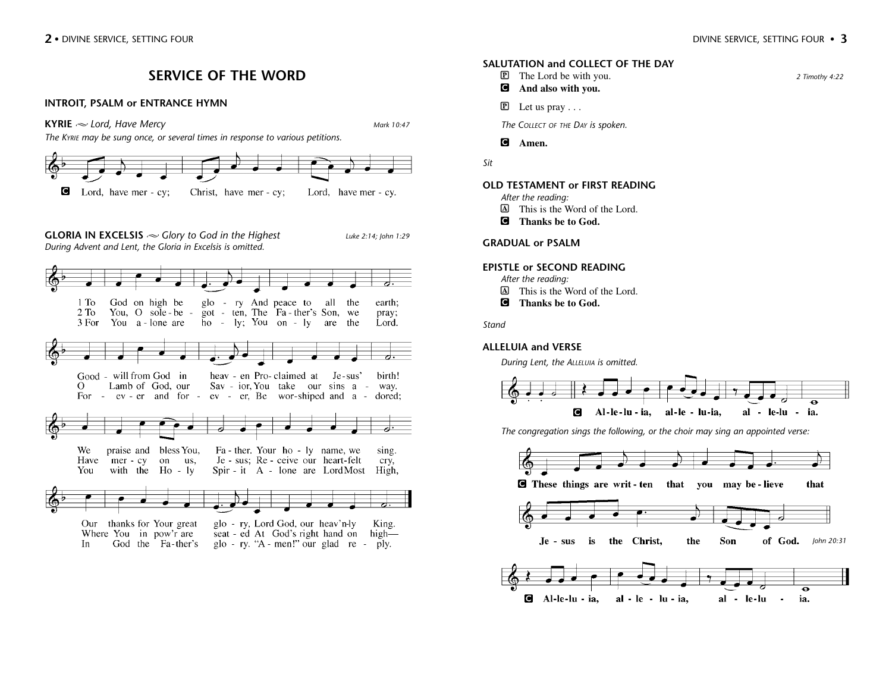*2 Timothy 4:22*

# **SERVICE OF THE WORD**

#### **INTROIT, PSALM or ENTRANCE HYMN**



*The KYRIE may be sung once, or several times in response to various petitions.*



### **SALUTATION and COLLECT OF THE DAY**

- **P** The Lord be with you.
- C **And also with you.**
- $\mathbb{P}$  Let us pray ...

*The COLLECT OF THE DAY is spoken.*

C **Amen.**

*Sit*

#### **OLD TESTAMENT or FIRST READING**

- *After the reading:*
- A This is the Word of the Lord.
- C **Thanks be to God.**

### **GRADUAL or PSALM**

#### **EPISTLE or SECOND READING**

*After the reading:*

- A This is the Word of the Lord.
- C **Thanks be to God.**

*Stand*

### **ALLELUIA and VERSE**

*During Lent, the ALLELUIA is omitted.*



*The congregation sings the following, or the choir may sing an appointed verse:* 

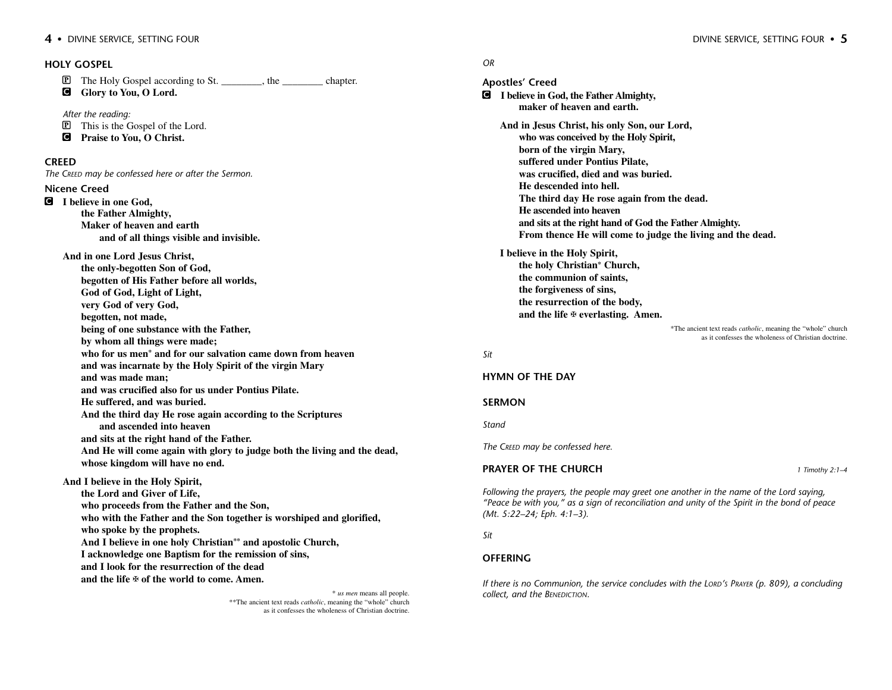P The Holy Gospel according to St. \_\_\_\_\_\_\_\_, the \_\_\_\_\_\_\_\_ chapter.

C **Glory to You, O Lord.**

*After the reading:* P This is the Gospel of the Lord.

C **Praise to You, O Christ.**

#### **CREED**

*The CREED may be confessed here or after the Sermon.*

#### **Nicene Creed**

C **I believe in one God, the Father Almighty, Maker of heaven and earth and of all things visible and invisible.**

## **And in one Lord Jesus Christ,**

**the only-begotten Son of God, begotten of His Father before all worlds, God of God, Light of Light, very God of very God, begotten, not made, being of one substance with the Father, by whom all things were made; who for us men\* and for our salvation came down from heaven and was incarnate by the Holy Spirit of the virgin Mary and was made man; and was crucified also for us under Pontius Pilate. He suffered, and was buried. And the third day He rose again according to the Scriptures and ascended into heaven and sits at the right hand of the Father.**

**And He will come again with glory to judge both the living and the dead, whose kingdom will have no end.**

**And I believe in the Holy Spirit,**

**the Lord and Giver of Life, who proceeds from the Father and the Son, who with the Father and the Son together is worshiped and glorified, who spoke by the prophets. And I believe in one holy Christian\*\* and apostolic Church, I acknowledge one Baptism for the remission of sins, and I look for the resurrection of the dead and the life** ✠ **of the world to come. Amen.**

> \* *us men* means all people. \*\*The ancient text reads *catholic*, meaning the "whole" church as it confesses the wholeness of Christian doctrine.

#### *OR*

**Apostles' Creed** C **I believe in God, the Father Almighty, maker of heaven and earth. And in Jesus Christ, his only Son, our Lord, who was conceived by the Holy Spirit, born of the virgin Mary, suffered under Pontius Pilate, was crucified, died and was buried. He descended into hell. The third day He rose again from the dead. He ascended into heaven and sits at the right hand of God the Father Almighty. From thence He will come to judge the living and the dead. I believe in the Holy Spirit, the holy Christian\* Church, the communion of saints, the forgiveness of sins, the resurrection of the body, and the life** ✠ **everlasting. Amen.**

\*The ancient text reads *catholic*, meaning the "whole" church as it confesses the wholeness of Christian doctrine.

#### *Sit*

#### **HYMN OF THE DAY**

#### **SERMON**

*Stand*

*The CREED may be confessed here.*

#### **PRAYER OF THE CHURCH** *1 Timothy 2:1–4*

*Following the prayers, the people may greet one another in the name of the Lord saying, "Peace be with you," as a sign of reconciliation and unity of the Spirit in the bond of peace (Mt. 5:22–24; Eph. 4:1–3).*

#### *Sit*

#### **OFFERING**

*If there is no Communion, the service concludes with the LORD'S PRAYER (p. 809), a concluding collect, and the BENEDICTION.*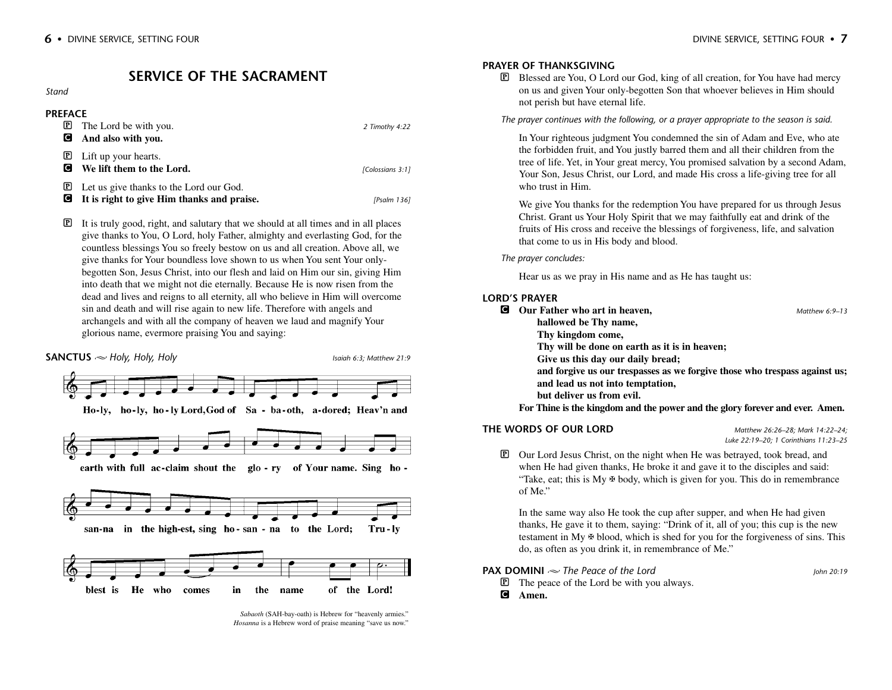# **SERVICE OF THE SACRAMENT**

#### *Stand*

| <b>PREFACE</b>    |                                                                                       |                  |
|-------------------|---------------------------------------------------------------------------------------|------------------|
| $\mathbf P$       | The Lord be with you.                                                                 | 2 Timothy 4:22   |
| с                 | And also with you.                                                                    |                  |
| $\mathbf{P}$<br>с | Lift up your hearts.<br>We lift them to the Lord.                                     | [Colossians 3:1] |
| $\mathbf{P}$<br>C | Let us give thanks to the Lord our God.<br>It is right to give Him thanks and praise. | [Psalm 136]      |

 $\mathbb{P}$  It is truly good, right, and salutary that we should at all times and in all places give thanks to You, O Lord, holy Father, almighty and everlasting God, for the countless blessings You so freely bestow on us and all creation. Above all, we give thanks for Your boundless love shown to us when You sent Your onlybegotten Son, Jesus Christ, into our flesh and laid on Him our sin, giving Him into death that we might not die eternally. Because He is now risen from the dead and lives and reigns to all eternity, all who believe in Him will overcome sin and death and will rise again to new life. Therefore with angels and archangels and with all the company of heaven we laud and magnify Your glorious name, evermore praising You and saying:



*Sabaoth* (SAH-bay-oath) is Hebrew for "heavenly armies." *Hosanna* is a Hebrew word of praise meaning "save us now."

#### **PRAYER OF THANKSGIVING**

P Blessed are You, O Lord our God, king of all creation, for You have had mercy on us and given Your only-begotten Son that whoever believes in Him should not perish but have eternal life.

*The prayer continues with the following, or a prayer appropriate to the season is said.*

In Your righteous judgment You condemned the sin of Adam and Eve, who ate the forbidden fruit, and You justly barred them and all their children from the tree of life. Yet, in Your great mercy, You promised salvation by a second Adam, Your Son, Jesus Christ, our Lord, and made His cross a life-giving tree for all who trust in Him.

We give You thanks for the redemption You have prepared for us through Jesus Christ. Grant us Your Holy Spirit that we may faithfully eat and drink of the fruits of His cross and receive the blessings of forgiveness, life, and salvation that come to us in His body and blood.

*The prayer concludes:*

Hear us as we pray in His name and as He has taught us:

#### **LORD'S PRAYER**

| C | Our Father who art in heaven,                                                | Matthew $6.9-13$ |
|---|------------------------------------------------------------------------------|------------------|
|   | hallowed be Thy name,                                                        |                  |
|   | Thy kingdom come,                                                            |                  |
|   | Thy will be done on earth as it is in heaven;                                |                  |
|   | Give us this day our daily bread;                                            |                  |
|   | and forgive us our trespasses as we forgive those who trespass against us;   |                  |
|   | and lead us not into temptation,                                             |                  |
|   | but deliver us from evil.                                                    |                  |
|   | For Thine is the kingdom and the power and the glory forever and ever. Amen. |                  |
|   |                                                                              |                  |

## **THE WORDS OF OUR LORD** *Matthew 26:26–28; Mark 14:22–24;*

*Luke 22:19–20; 1 Corinthians 11:23–25*

P Our Lord Jesus Christ, on the night when He was betrayed, took bread, and when He had given thanks, He broke it and gave it to the disciples and said: "Take, eat; this is  $My \oplus body$ , which is given for you. This do in remembrance of Me."

In the same way also He took the cup after supper, and when He had given thanks, He gave it to them, saying: "Drink of it, all of you; this cup is the new testament in My ✠ blood, which is shed for you for the forgiveness of sins. This do, as often as you drink it, in remembrance of Me."

#### **PAX DOMINI**  $\sim$  The Peace of the Lord *Iohn 20:19*

P The peace of the Lord be with you always.

C **Amen.**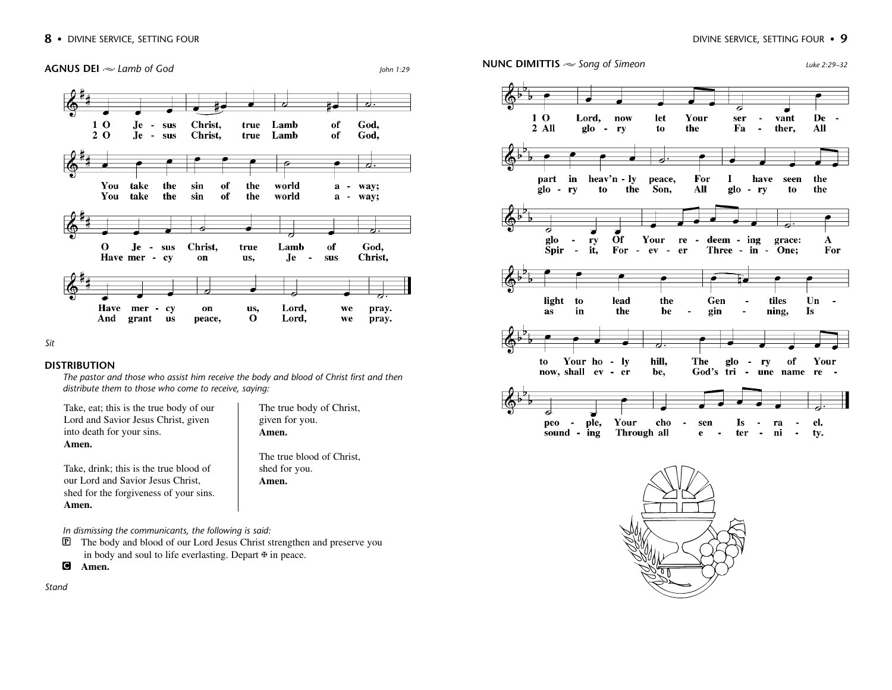

*Sit*

#### **DISTRIBUTION**

*The pastor and those who assist him receive the body and blood of Christ first and then distribute them to those who come to receive, saying:*

Take, eat; this is the true body of our Lord and Savior Jesus Christ, given into death for your sins. **Amen.** 

Take, drink; this is the true blood of our Lord and Savior Jesus Christ, shed for the forgiveness of your sins. The true body of Christ, given for you. **Amen.** 

The true blood of Christ, shed for you. **Amen.**

*In dismissing the communicants, the following is said:*

- P The body and blood of our Lord Jesus Christ strengthen and preserve you in body and soul to life everlasting. Depart ✠ in peace.
- C **Amen.**

**Amen.** 

*Stand*



## **AGNUS DEI**  $\approx$  Lamb of God *Luke 2:29–32 Luke 2:29–32 Luke 2:29–32*